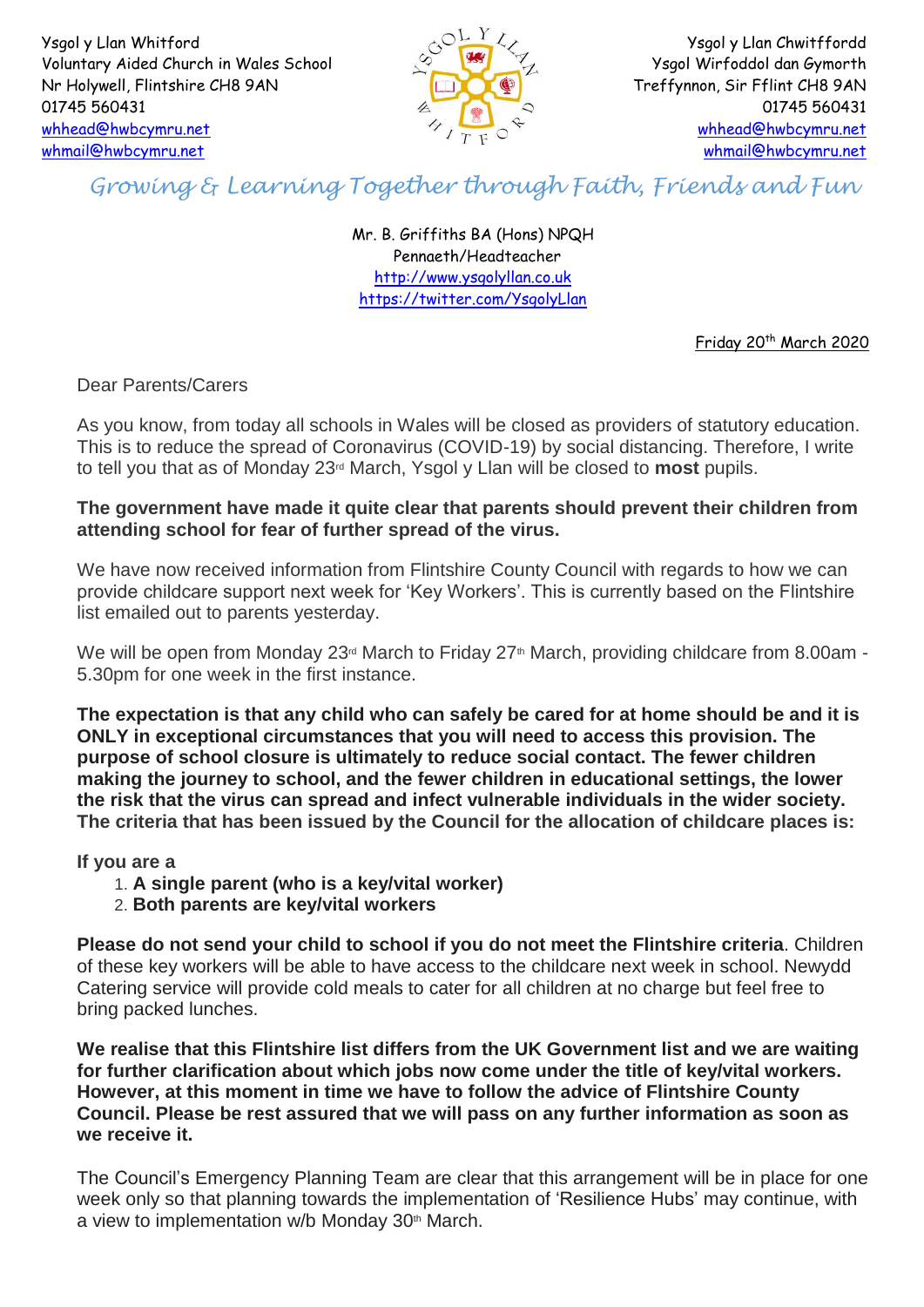Ysgol y Llan Whitford Voluntary Aided Church in Wales School Nr Holywell, Flintshire CH8 9AN 01745 560431 [whhead@hwbcymru.net](mailto:whhead@hwbcymru.net) [whmail@hwbcymru.net](mailto:whmail@hwbcymru.net)



Ysgol y Llan Chwitffordd Ysgol Wirfoddol dan Gymorth Treffynnon, Sir Fflint CH8 9AN 01745 560431 [whhead@hwbcymru.net](mailto:whhead@hwbcymru.net) [whmail@hwbcymru.net](mailto:whmail@hwbcymru.net)

## *Growing & Learning Together through Faith, Friends and Fun*

Mr. B. Griffiths BA (Hons) NPQH Pennaeth/Headteacher [http://www.ysgolyllan.co.uk](http://www.ysgolyllan.co.uk/) <https://twitter.com/YsgolyLlan>

Friday 20<sup>th</sup> March 2020

Dear Parents/Carers

As you know, from today all schools in Wales will be closed as providers of statutory education. This is to reduce the spread of Coronavirus (COVID-19) by social distancing. Therefore, I write to tell you that as of Monday 23rd March, Ysgol y Llan will be closed to **most** pupils.

## **The government have made it quite clear that parents should prevent their children from attending school for fear of further spread of the virus.**

We have now received information from Flintshire County Council with regards to how we can provide childcare support next week for 'Key Workers'. This is currently based on the Flintshire list emailed out to parents yesterday.

We will be open from Monday 23<sup>rd</sup> March to Friday 27<sup>th</sup> March, providing childcare from 8.00am -5.30pm for one week in the first instance.

**The expectation is that any child who can safely be cared for at home should be and it is ONLY in exceptional circumstances that you will need to access this provision. The purpose of school closure is ultimately to reduce social contact. The fewer children making the journey to school, and the fewer children in educational settings, the lower the risk that the virus can spread and infect vulnerable individuals in the wider society. The criteria that has been issued by the Council for the allocation of childcare places is:**

**If you are a**

- 1. **A single parent (who is a key/vital worker)**
- 2. **Both parents are key/vital workers**

**Please do not send your child to school if you do not meet the Flintshire criteria**. Children of these key workers will be able to have access to the childcare next week in school. Newydd Catering service will provide cold meals to cater for all children at no charge but feel free to bring packed lunches.

**We realise that this Flintshire list differs from the UK Government list and we are waiting for further clarification about which jobs now come under the title of key/vital workers. However, at this moment in time we have to follow the advice of Flintshire County Council. Please be rest assured that we will pass on any further information as soon as we receive it.**

The Council's Emergency Planning Team are clear that this arrangement will be in place for one week only so that planning towards the implementation of 'Resilience Hubs' may continue, with a view to implementation  $w/b$  Monday 30<sup>th</sup> March.